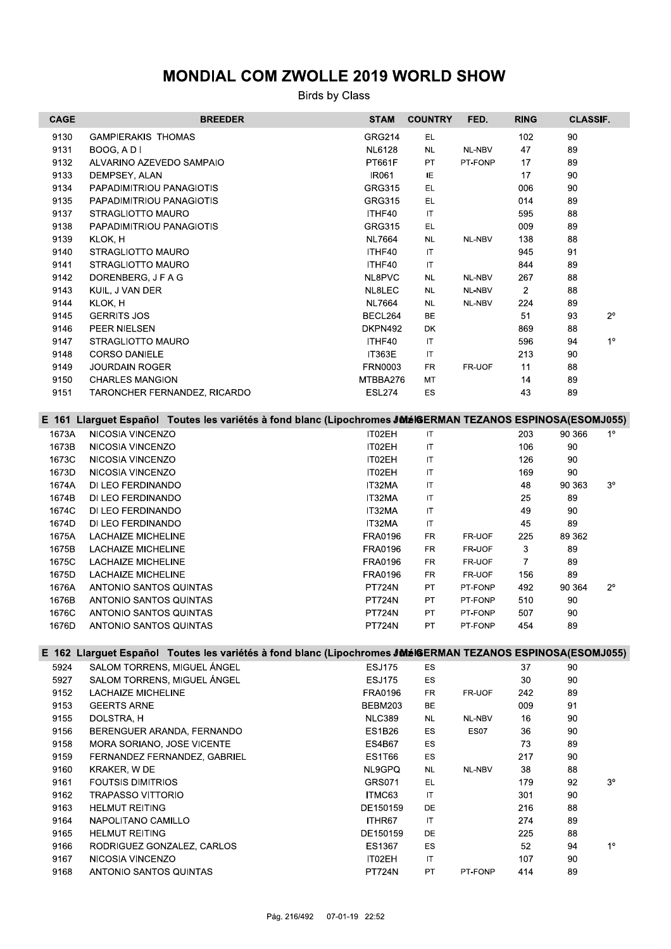| <b>CAGE</b>                                                                                                | <b>BREEDER</b>                                                                                             | <b>STAM</b>    | <b>COUNTRY</b>         | FED.    | <b>RING</b>    | <b>CLASSIF.</b> |                |  |
|------------------------------------------------------------------------------------------------------------|------------------------------------------------------------------------------------------------------------|----------------|------------------------|---------|----------------|-----------------|----------------|--|
| 9130                                                                                                       | <b>GAMPIERAKIS THOMAS</b>                                                                                  | <b>GRG214</b>  | EL.                    |         | 102            | 90              |                |  |
| 9131                                                                                                       | BOOG, A D I                                                                                                | <b>NL6128</b>  | NL                     | NL-NBV  | 47             | 89              |                |  |
| 9132                                                                                                       | ALVARINO AZEVEDO SAMPAIO                                                                                   | PT661F         | PT                     | PT-FONP | 17             | 89              |                |  |
| 9133                                                                                                       | DEMPSEY, ALAN                                                                                              | IR061          | IE                     |         | 17             | 90              |                |  |
| 9134                                                                                                       | PAPADIMITRIOU PANAGIOTIS                                                                                   | <b>GRG315</b>  | EL.                    |         | 006            | 90              |                |  |
| 9135                                                                                                       | PAPADIMITRIOU PANAGIOTIS                                                                                   | GRG315         | EL                     |         | 014            | 89              |                |  |
|                                                                                                            |                                                                                                            | ITHF40         | $\mathsf{I}\mathsf{T}$ |         | 595            |                 |                |  |
| 9137                                                                                                       | STRAGLIOTTO MAURO                                                                                          |                |                        |         |                | 88              |                |  |
| 9138                                                                                                       | PAPADIMITRIOU PANAGIOTIS                                                                                   | <b>GRG315</b>  | EL.                    |         | 009            | 89              |                |  |
| 9139                                                                                                       | KLOK, H                                                                                                    | <b>NL7664</b>  | <b>NL</b>              | NL-NBV  | 138            | 88              |                |  |
| 9140                                                                                                       | STRAGLIOTTO MAURO                                                                                          | ITHF40         | IT                     |         | 945            | 91              |                |  |
| 9141                                                                                                       | STRAGLIOTTO MAURO                                                                                          | ITHF40         | IT                     |         | 844            | 89              |                |  |
| 9142                                                                                                       | DORENBERG, J F A G                                                                                         | NL8PVC         | $\sf NL$               | NL-NBV  | 267            | 88              |                |  |
| 9143                                                                                                       | KUIL, J VAN DER                                                                                            | NL8LEC         | NL                     | NL-NBV  | $\overline{2}$ | 88              |                |  |
| 9144                                                                                                       | KLOK, H                                                                                                    | <b>NL7664</b>  | NL                     | NL-NBV  | 224            | 89              |                |  |
| 9145                                                                                                       | <b>GERRITS JOS</b>                                                                                         | BECL264        | ВE                     |         | 51             | 93              | $2^{\circ}$    |  |
| 9146                                                                                                       | PEER NIELSEN                                                                                               | DKPN492        | DK                     |         | 869            | 88              |                |  |
| 9147                                                                                                       | STRAGLIOTTO MAURO                                                                                          | ITHF40         | $\sf IT$               |         | 596            | 94              | 1 <sup>o</sup> |  |
| 9148                                                                                                       | <b>CORSO DANIELE</b>                                                                                       | <b>IT363E</b>  | IT                     |         | 213            | 90              |                |  |
| 9149                                                                                                       | <b>JOURDAIN ROGER</b>                                                                                      | FRN0003        | FR                     | FR-UOF  | 11             | 88              |                |  |
| 9150                                                                                                       | <b>CHARLES MANGION</b>                                                                                     | MTBBA276       | MT                     |         | 14             | 89              |                |  |
| 9151                                                                                                       | TARONCHER FERNANDEZ, RICARDO                                                                               | <b>ESL274</b>  | ES                     |         | 43             | 89              |                |  |
|                                                                                                            |                                                                                                            |                |                        |         |                |                 |                |  |
| E 161 Llarguet Español Toutes les variétés à fond blanc (Lipochromes JMéIGERMAN TEZANOS ESPINOSA(ESOMJ055) |                                                                                                            |                |                        |         |                |                 |                |  |
| 1673A                                                                                                      | NICOSIA VINCENZO                                                                                           | IT02EH         | IT                     |         | 203            | 90 366          | $1^{\circ}$    |  |
| 1673B                                                                                                      | NICOSIA VINCENZO                                                                                           | IT02EH         | $\mathsf{I}\mathsf{T}$ |         | 106            | 90              |                |  |
| 1673C                                                                                                      | NICOSIA VINCENZO                                                                                           | IT02EH         | IT                     |         | 126            | 90              |                |  |
|                                                                                                            |                                                                                                            |                |                        |         |                | 90              |                |  |
| 1673D                                                                                                      | NICOSIA VINCENZO                                                                                           | IT02EH         | $\mathsf{I}\mathsf{T}$ |         | 169            |                 | $3^{\circ}$    |  |
| 1674A                                                                                                      | DI LEO FERDINANDO                                                                                          | IT32MA         | $\sf IT$               |         | 48             | 90 363          |                |  |
| 1674B                                                                                                      | DI LEO FERDINANDO                                                                                          | IT32MA         | $\mathsf{I}\mathsf{T}$ |         | 25             | 89              |                |  |
| 1674C                                                                                                      | DI LEO FERDINANDO                                                                                          | IT32MA         | IT                     |         | 49             | 90              |                |  |
| 1674D                                                                                                      | DI LEO FERDINANDO                                                                                          | IT32MA         | $\mathsf{I}\mathsf{T}$ |         | 45             | 89              |                |  |
| 1675A                                                                                                      | <b>LACHAIZE MICHELINE</b>                                                                                  | <b>FRA0196</b> | FR                     | FR-UOF  | 225            | 89 362          |                |  |
| 1675B                                                                                                      | <b>LACHAIZE MICHELINE</b>                                                                                  | FRA0196        | FR                     | FR-UOF  | 3              | 89              |                |  |
| 1675C                                                                                                      | <b>LACHAIZE MICHELINE</b>                                                                                  | FRA0196        | FR                     | FR-UOF  | 7              | 89              |                |  |
| 1675D                                                                                                      | <b>LACHAIZE MICHELINE</b>                                                                                  | <b>FRA0196</b> | FR                     | FR-UOF  | 156            | 89              |                |  |
| 1676A                                                                                                      | ANTONIO SANTOS QUINTAS                                                                                     | <b>PT724N</b>  | PT                     | PT-FONP | 492            | 90 364          | $2^{\circ}$    |  |
| 1676B                                                                                                      | ANTONIO SANTOS QUINTAS                                                                                     | <b>PT724N</b>  | PT                     | PT-FONP | 510            | 90              |                |  |
| 1676C                                                                                                      | ANTONIO SANTOS QUINTAS                                                                                     | PT724N         | PT                     | PT-FONP | 507            | 90              |                |  |
| 1676D                                                                                                      | ANTONIO SANTOS QUINTAS                                                                                     | <b>PT724N</b>  | PT                     | PT-FONP | 454            | 89              |                |  |
|                                                                                                            |                                                                                                            |                |                        |         |                |                 |                |  |
|                                                                                                            | E 162 Llarguet Español Toutes les variétés à fond blanc (Lipochromes JMéIGERMAN TEZANOS ESPINOSA(ESOMJ055) |                |                        |         |                |                 |                |  |
| 5924                                                                                                       | SALOM TORRENS, MIGUEL ÁNGEL                                                                                | <b>ESJ175</b>  | ES                     |         | 37             | 90              |                |  |
| 5927                                                                                                       | SALOM TORRENS, MIGUEL ÁNGEL                                                                                | <b>ESJ175</b>  | ES                     |         | 30             | 90              |                |  |
| 9152                                                                                                       | LACHAIZE MICHELINE                                                                                         | FRA0196        | FR                     | FR-UOF  | 242            | 89              |                |  |
| 9153                                                                                                       | <b>GEERTS ARNE</b>                                                                                         | BEBM203        | ВE                     |         | 009            | 91              |                |  |
| 9155                                                                                                       | DOLSTRA, H                                                                                                 | <b>NLC389</b>  | <b>NL</b>              | NL-NBV  | 16             | 90              |                |  |
| 9156                                                                                                       | BERENGUER ARANDA, FERNANDO                                                                                 | <b>ES1B26</b>  | ES                     | ES07    | 36             | 90              |                |  |
| 9158                                                                                                       | MORA SORIANO, JOSE VICENTE                                                                                 | <b>ES4B67</b>  | ES                     |         | 73             | 89              |                |  |
| 9159                                                                                                       | FERNANDEZ FERNANDEZ, GABRIEL                                                                               | <b>ES1T66</b>  | ES                     |         | 217            | 90              |                |  |
| 9160                                                                                                       | KRAKER, W DE                                                                                               | NL9GPQ         | NL.                    | NL-NBV  | 38             | 88              |                |  |
| 9161                                                                                                       | <b>FOUTSIS DIMITRIOS</b>                                                                                   | GRS071         | EL.                    |         | 179            | 92              | $3^{\circ}$    |  |
|                                                                                                            |                                                                                                            |                |                        |         |                | 90              |                |  |
| 9162                                                                                                       | <b>TRAPASSO VITTORIO</b>                                                                                   | ITMC63         | IT                     |         | 301            |                 |                |  |
| 9163                                                                                                       | <b>HELMUT REITING</b>                                                                                      | DE150159       | DE                     |         | 216            | 88              |                |  |
| 9164                                                                                                       | NAPOLITANO CAMILLO                                                                                         | ITHR67         | IT                     |         | 274            | 89              |                |  |
| 9165                                                                                                       | <b>HELMUT REITING</b>                                                                                      | DE150159       | DE                     |         | 225            | 88              |                |  |
| 9166                                                                                                       | RODRIGUEZ GONZALEZ, CARLOS                                                                                 | ES1367         | ES                     |         | 52             | 94              | $1^{\circ}$    |  |
| 9167                                                                                                       | NICOSIA VINCENZO                                                                                           | IT02EH         | IT                     |         | 107            | 90              |                |  |
| 9168                                                                                                       | ANTONIO SANTOS QUINTAS                                                                                     | <b>PT724N</b>  | PT                     | PT-FONP | 414            | 89              |                |  |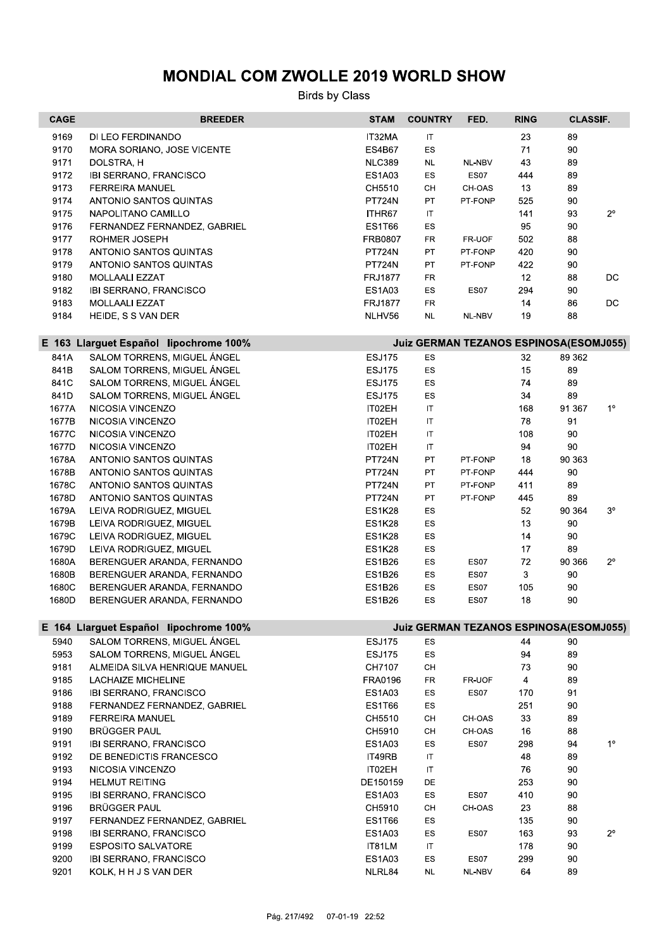| <b>CAGE</b> | <b>BREEDER</b>                                                                   | <b>STAM</b>    | <b>COUNTRY</b>                         | FED.        | <b>RING</b> | <b>CLASSIF.</b> |                |  |  |
|-------------|----------------------------------------------------------------------------------|----------------|----------------------------------------|-------------|-------------|-----------------|----------------|--|--|
| 9169        | DI LEO FERDINANDO                                                                | IT32MA         | IT                                     |             | 23          | 89              |                |  |  |
| 9170        | MORA SORIANO, JOSE VICENTE                                                       | <b>ES4B67</b>  | ES                                     |             | 71          | 90              |                |  |  |
| 9171        | DOLSTRA, H                                                                       | <b>NLC389</b>  | <b>NL</b>                              | NL-NBV      | 43          | 89              |                |  |  |
| 9172        | IBI SERRANO, FRANCISCO                                                           | <b>ES1A03</b>  | ES                                     | ES07        | 444         | 89              |                |  |  |
| 9173        | <b>FERREIRA MANUEL</b>                                                           | CH5510         | CH                                     | CH-OAS      | 13          | 89              |                |  |  |
| 9174        | ANTONIO SANTOS QUINTAS                                                           | <b>PT724N</b>  | PT                                     | PT-FONP     | 525         | 90              |                |  |  |
| 9175        | NAPOLITANO CAMILLO                                                               | ITHR67         | IT                                     |             | 141         | 93              | $2^{\circ}$    |  |  |
| 9176        | FERNANDEZ FERNANDEZ, GABRIEL                                                     | <b>ES1T66</b>  | ES                                     |             | 95          | 90              |                |  |  |
| 9177        | ROHMER JOSEPH                                                                    | FRB0807        | <b>FR</b>                              | FR-UOF      | 502         | 88              |                |  |  |
| 9178        | ANTONIO SANTOS QUINTAS                                                           | PT724N         | PT                                     | PT-FONP     | 420         | 90              |                |  |  |
| 9179        | ANTONIO SANTOS QUINTAS                                                           | <b>PT724N</b>  | PT                                     | PT-FONP     | 422         | $90\,$          |                |  |  |
| 9180        | MOLLAALI EZZAT                                                                   | <b>FRJ1877</b> | FR                                     |             | 12          | 88              | DC.            |  |  |
| 9182        | <b>IBI SERRANO, FRANCISCO</b>                                                    | <b>ES1A03</b>  | ES                                     | <b>ES07</b> | 294         | 90              |                |  |  |
| 9183        | MOLLAALI EZZAT                                                                   | <b>FRJ1877</b> | <b>FR</b>                              |             | 14          | 86              | <b>DC</b>      |  |  |
| 9184        | HEIDE, S S VAN DER                                                               | NLHV56         | <b>NL</b>                              | NL-NBV      | 19          | 88              |                |  |  |
|             | Juiz GERMAN TEZANOS ESPINOSA(ESOMJ055)<br>E 163 Llarguet Español lipochrome 100% |                |                                        |             |             |                 |                |  |  |
| 841A        | SALOM TORRENS, MIGUEL ÁNGEL                                                      | <b>ESJ175</b>  | ES                                     |             | 32          | 89 362          |                |  |  |
| 841B        | SALOM TORRENS, MIGUEL ÁNGEL                                                      | <b>ESJ175</b>  | ES                                     |             | 15          | 89              |                |  |  |
| 841C        | SALOM TORRENS, MIGUEL ÁNGEL                                                      | <b>ESJ175</b>  | ES                                     |             | 74          | 89              |                |  |  |
| 841D        | SALOM TORRENS, MIGUEL ÁNGEL                                                      | <b>ESJ175</b>  | ES                                     |             | 34          | 89              |                |  |  |
| 1677A       | NICOSIA VINCENZO                                                                 | IT02EH         | $\mathsf{I}\mathsf{T}$                 |             | 168         | 91 367          | $1^{\circ}$    |  |  |
| 1677B       | NICOSIA VINCENZO                                                                 | IT02EH         | IT                                     |             | 78          | 91              |                |  |  |
| 1677C       | NICOSIA VINCENZO                                                                 | IT02EH         | $\mathsf{I}\mathsf{T}$                 |             | 108         | 90              |                |  |  |
| 1677D       | NICOSIA VINCENZO                                                                 | IT02EH         | $\mathsf{I}\mathsf{T}$                 |             | 94          | 90              |                |  |  |
| 1678A       | ANTONIO SANTOS QUINTAS                                                           | <b>PT724N</b>  | PT                                     | PT-FONP     | 18          | 90 363          |                |  |  |
| 1678B       | ANTONIO SANTOS QUINTAS                                                           | <b>PT724N</b>  | PT                                     | PT-FONP     | 444         | 90              |                |  |  |
| 1678C       | ANTONIO SANTOS QUINTAS                                                           | <b>PT724N</b>  | PT                                     | PT-FONP     | 411         | 89              |                |  |  |
| 1678D       | ANTONIO SANTOS QUINTAS                                                           | <b>PT724N</b>  | PT                                     | PT-FONP     | 445         | 89              |                |  |  |
| 1679A       | LEIVA RODRIGUEZ, MIGUEL                                                          | <b>ES1K28</b>  | ES                                     |             | 52          | 90 364          | $3^{\circ}$    |  |  |
| 1679B       | LEIVA RODRIGUEZ, MIGUEL                                                          | <b>ES1K28</b>  | ES                                     |             | 13          | 90              |                |  |  |
| 1679C       | LEIVA RODRIGUEZ, MIGUEL                                                          | <b>ES1K28</b>  | ES                                     |             | 14          | 90              |                |  |  |
| 1679D       | LEIVA RODRIGUEZ, MIGUEL                                                          | <b>ES1K28</b>  | ES                                     |             | 17          | 89              |                |  |  |
| 1680A       | BERENGUER ARANDA, FERNANDO                                                       | <b>ES1B26</b>  | ES                                     | <b>ES07</b> | 72          | 90 366          | $2^{\circ}$    |  |  |
| 1680B       | BERENGUER ARANDA, FERNANDO                                                       | ES1B26         | ES                                     | ES07        | 3           | 90              |                |  |  |
| 1680C       | BERENGUER ARANDA, FERNANDO                                                       | <b>ES1B26</b>  | ES                                     | ES07        | 105         | 90              |                |  |  |
| 1680D       | BERENGUER ARANDA, FERNANDO                                                       | <b>ES1B26</b>  | ES                                     | <b>ES07</b> | 18          | 90              |                |  |  |
|             | E 164 Llarguet Español lipochrome 100%                                           |                | Juiz GERMAN TEZANOS ESPINOSA(ESOMJ055) |             |             |                 |                |  |  |
| 5940        | SALOM TORRENS, MIGUEL ÁNGEL                                                      | <b>ESJ175</b>  | ES                                     |             | 44          | 90              |                |  |  |
| 5953        | SALOM TORRENS, MIGUEL ÁNGEL                                                      | <b>ESJ175</b>  | ES                                     |             | 94          | 89              |                |  |  |
| 9181        | ALMEIDA SILVA HENRIQUE MANUEL                                                    | CH7107         | CН                                     |             | 73          | 90              |                |  |  |
| 9185        | <b>LACHAIZE MICHELINE</b>                                                        | FRA0196        | FR                                     | FR-UOF      | 4           | 89              |                |  |  |
| 9186        | <b>IBI SERRANO, FRANCISCO</b>                                                    | ES1A03         | ES                                     | ES07        | 170         | 91              |                |  |  |
| 9188        | FERNANDEZ FERNANDEZ, GABRIEL                                                     | <b>ES1T66</b>  | ES                                     |             | 251         | 90              |                |  |  |
| 9189        | <b>FERREIRA MANUEL</b>                                                           | CH5510         | CН                                     | CH-OAS      | 33          | 89              |                |  |  |
| 9190        | <b>BRÜGGER PAUL</b>                                                              | CH5910         | CH                                     | CH-OAS      | 16          | 88              |                |  |  |
| 9191        | <b>IBI SERRANO, FRANCISCO</b>                                                    | <b>ES1A03</b>  | ES                                     | ES07        | 298         | 94              | 1 <sup>o</sup> |  |  |
| 9192        | DE BENEDICTIS FRANCESCO                                                          | IT49RB         | IT                                     |             | 48          | 89              |                |  |  |
| 9193        | NICOSIA VINCENZO                                                                 | IT02EH         | $\sf IT$                               |             | 76          | 90              |                |  |  |
| 9194        | <b>HELMUT REITING</b>                                                            | DE150159       | DE.                                    |             | 253         | 90              |                |  |  |
| 9195        | <b>IBI SERRANO, FRANCISCO</b>                                                    | <b>ES1A03</b>  | ES                                     | ES07        | 410         | 90              |                |  |  |
| 9196        | <b>BRÜGGER PAUL</b>                                                              | CH5910         | CН                                     | CH-OAS      | 23          | 88              |                |  |  |
| 9197        | FERNANDEZ FERNANDEZ, GABRIEL                                                     | <b>ES1T66</b>  | ES                                     |             | 135         | 90              |                |  |  |
| 9198        | IBI SERRANO, FRANCISCO                                                           | <b>ES1A03</b>  | ES                                     | <b>ES07</b> | 163         | 93              | $2^{\circ}$    |  |  |
| 9199        | <b>ESPOSITO SALVATORE</b>                                                        | IT81LM         | IT                                     |             | 178         | 90              |                |  |  |
| 9200        | IBI SERRANO, FRANCISCO                                                           | <b>ES1A03</b>  | ES                                     | ES07        | 299         | 90              |                |  |  |
| 9201        | KOLK, H H J S VAN DER                                                            | NLRL84         | <b>NL</b>                              | NL-NBV      | 64          | 89              |                |  |  |
|             |                                                                                  |                |                                        |             |             |                 |                |  |  |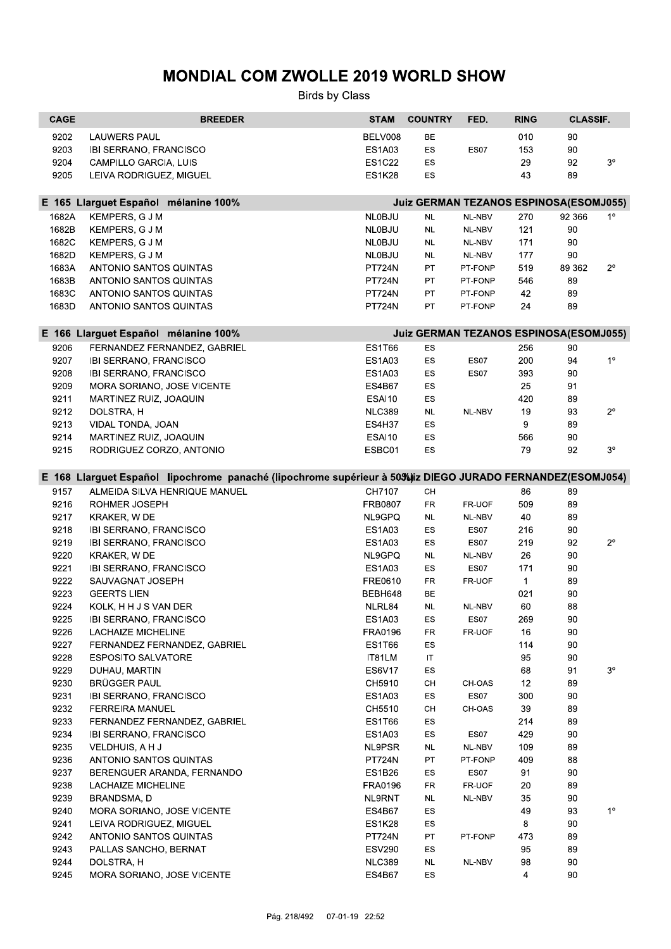| BELV008<br><b>ES1A03</b><br><b>ES1C22</b><br><b>ES1K28</b><br><b>NLOBJU</b><br><b>NLOBJU</b><br><b>NLOBJU</b><br><b>NLOBJU</b><br><b>PT724N</b><br><b>PT724N</b><br><b>PT724N</b><br><b>PT724N</b><br><b>ES1T66</b><br><b>ES1A03</b><br><b>ES1A03</b><br><b>ES4B67</b><br>ESAI10<br><b>NLC389</b><br><b>ES4H37</b><br>ESAI10<br>ESBC01<br>E 168 Llarguet Español lipochrome panaché (lipochrome supérieur à 50%) iz DIEGO JURADO FERNANDEZ(ESOMJ054)<br>CH7107<br><b>FRB0807</b><br>NL9GPQ<br><b>ES1A03</b> | BE<br>ES<br>ES<br>ES<br>Juiz GERMAN TEZANOS ESPINOSA(ESOMJ055)<br><b>NL</b><br><b>NL</b><br><b>NL</b><br><b>NL</b><br>PT<br>PT<br>PT<br>PT<br>Juiz GERMAN TEZANOS ESPINOSA(ESOMJ055)<br>ES<br>ES<br>ES<br>ES<br>ES<br><b>NL</b><br><b>ES</b><br>ES<br>ES | ES07<br>NL-NBV<br>NL-NBV<br>NL-NBV<br>NL-NBV<br>PT-FONP<br>PT-FONP<br>PT-FONP<br>PT-FONP<br>ES07<br>ES07<br>NL-NBV | 010<br>153<br>29<br>43<br>270<br>121<br>171<br>177<br>519<br>546<br>42<br>24<br>256<br>200<br>393<br>25<br>420<br>19<br>9<br>566<br>79 | 90<br>90<br>92<br>89<br>92 366<br>90<br>90<br>90<br>89 362<br>89<br>89<br>89<br>90<br>94<br>90<br>91<br>89<br>93<br>89<br>90<br>92 |                                              |
|-------------------------------------------------------------------------------------------------------------------------------------------------------------------------------------------------------------------------------------------------------------------------------------------------------------------------------------------------------------------------------------------------------------------------------------------------------------------------------------------------------------|----------------------------------------------------------------------------------------------------------------------------------------------------------------------------------------------------------------------------------------------------------|--------------------------------------------------------------------------------------------------------------------|----------------------------------------------------------------------------------------------------------------------------------------|------------------------------------------------------------------------------------------------------------------------------------|----------------------------------------------|
|                                                                                                                                                                                                                                                                                                                                                                                                                                                                                                             |                                                                                                                                                                                                                                                          |                                                                                                                    |                                                                                                                                        |                                                                                                                                    | 3 <sup>o</sup><br>$1^{\circ}$<br>$2^{\circ}$ |
|                                                                                                                                                                                                                                                                                                                                                                                                                                                                                                             |                                                                                                                                                                                                                                                          |                                                                                                                    |                                                                                                                                        |                                                                                                                                    |                                              |
|                                                                                                                                                                                                                                                                                                                                                                                                                                                                                                             |                                                                                                                                                                                                                                                          |                                                                                                                    |                                                                                                                                        |                                                                                                                                    |                                              |
|                                                                                                                                                                                                                                                                                                                                                                                                                                                                                                             |                                                                                                                                                                                                                                                          |                                                                                                                    |                                                                                                                                        |                                                                                                                                    |                                              |
|                                                                                                                                                                                                                                                                                                                                                                                                                                                                                                             |                                                                                                                                                                                                                                                          |                                                                                                                    |                                                                                                                                        |                                                                                                                                    |                                              |
|                                                                                                                                                                                                                                                                                                                                                                                                                                                                                                             |                                                                                                                                                                                                                                                          |                                                                                                                    |                                                                                                                                        |                                                                                                                                    |                                              |
|                                                                                                                                                                                                                                                                                                                                                                                                                                                                                                             |                                                                                                                                                                                                                                                          |                                                                                                                    |                                                                                                                                        |                                                                                                                                    |                                              |
|                                                                                                                                                                                                                                                                                                                                                                                                                                                                                                             |                                                                                                                                                                                                                                                          |                                                                                                                    |                                                                                                                                        |                                                                                                                                    |                                              |
|                                                                                                                                                                                                                                                                                                                                                                                                                                                                                                             |                                                                                                                                                                                                                                                          |                                                                                                                    |                                                                                                                                        |                                                                                                                                    |                                              |
|                                                                                                                                                                                                                                                                                                                                                                                                                                                                                                             |                                                                                                                                                                                                                                                          |                                                                                                                    |                                                                                                                                        |                                                                                                                                    |                                              |
|                                                                                                                                                                                                                                                                                                                                                                                                                                                                                                             |                                                                                                                                                                                                                                                          |                                                                                                                    |                                                                                                                                        |                                                                                                                                    |                                              |
|                                                                                                                                                                                                                                                                                                                                                                                                                                                                                                             |                                                                                                                                                                                                                                                          |                                                                                                                    |                                                                                                                                        |                                                                                                                                    |                                              |
|                                                                                                                                                                                                                                                                                                                                                                                                                                                                                                             |                                                                                                                                                                                                                                                          |                                                                                                                    |                                                                                                                                        |                                                                                                                                    |                                              |
|                                                                                                                                                                                                                                                                                                                                                                                                                                                                                                             |                                                                                                                                                                                                                                                          |                                                                                                                    |                                                                                                                                        |                                                                                                                                    | $1^{\circ}$<br>$2^{\circ}$                   |
|                                                                                                                                                                                                                                                                                                                                                                                                                                                                                                             |                                                                                                                                                                                                                                                          |                                                                                                                    |                                                                                                                                        |                                                                                                                                    |                                              |
|                                                                                                                                                                                                                                                                                                                                                                                                                                                                                                             |                                                                                                                                                                                                                                                          |                                                                                                                    |                                                                                                                                        |                                                                                                                                    |                                              |
|                                                                                                                                                                                                                                                                                                                                                                                                                                                                                                             |                                                                                                                                                                                                                                                          |                                                                                                                    |                                                                                                                                        |                                                                                                                                    |                                              |
|                                                                                                                                                                                                                                                                                                                                                                                                                                                                                                             |                                                                                                                                                                                                                                                          |                                                                                                                    |                                                                                                                                        |                                                                                                                                    |                                              |
|                                                                                                                                                                                                                                                                                                                                                                                                                                                                                                             |                                                                                                                                                                                                                                                          |                                                                                                                    |                                                                                                                                        |                                                                                                                                    |                                              |
|                                                                                                                                                                                                                                                                                                                                                                                                                                                                                                             |                                                                                                                                                                                                                                                          |                                                                                                                    |                                                                                                                                        |                                                                                                                                    |                                              |
|                                                                                                                                                                                                                                                                                                                                                                                                                                                                                                             |                                                                                                                                                                                                                                                          |                                                                                                                    |                                                                                                                                        |                                                                                                                                    |                                              |
|                                                                                                                                                                                                                                                                                                                                                                                                                                                                                                             |                                                                                                                                                                                                                                                          |                                                                                                                    |                                                                                                                                        |                                                                                                                                    | 3 <sup>o</sup>                               |
|                                                                                                                                                                                                                                                                                                                                                                                                                                                                                                             |                                                                                                                                                                                                                                                          |                                                                                                                    |                                                                                                                                        |                                                                                                                                    |                                              |
|                                                                                                                                                                                                                                                                                                                                                                                                                                                                                                             | CH                                                                                                                                                                                                                                                       |                                                                                                                    | 86                                                                                                                                     | 89                                                                                                                                 |                                              |
|                                                                                                                                                                                                                                                                                                                                                                                                                                                                                                             | <b>FR</b>                                                                                                                                                                                                                                                | FR-UOF                                                                                                             | 509                                                                                                                                    | 89                                                                                                                                 |                                              |
|                                                                                                                                                                                                                                                                                                                                                                                                                                                                                                             | <b>NL</b>                                                                                                                                                                                                                                                | NL-NBV                                                                                                             | 40                                                                                                                                     | 89                                                                                                                                 |                                              |
|                                                                                                                                                                                                                                                                                                                                                                                                                                                                                                             | ES                                                                                                                                                                                                                                                       | ES07                                                                                                               | 216                                                                                                                                    | 90                                                                                                                                 |                                              |
| <b>ES1A03</b>                                                                                                                                                                                                                                                                                                                                                                                                                                                                                               | ES                                                                                                                                                                                                                                                       | ES07                                                                                                               | 219                                                                                                                                    | 92                                                                                                                                 | $2^{\circ}$                                  |
| NL9GPQ                                                                                                                                                                                                                                                                                                                                                                                                                                                                                                      | <b>NL</b>                                                                                                                                                                                                                                                | NL-NBV                                                                                                             | 26                                                                                                                                     | 90                                                                                                                                 |                                              |
| <b>ES1A03</b>                                                                                                                                                                                                                                                                                                                                                                                                                                                                                               | ES                                                                                                                                                                                                                                                       | ES07                                                                                                               | 171                                                                                                                                    | 90                                                                                                                                 |                                              |
| FRE0610                                                                                                                                                                                                                                                                                                                                                                                                                                                                                                     | FR                                                                                                                                                                                                                                                       | FR-UOF                                                                                                             | $\mathbf{1}$                                                                                                                           | 89                                                                                                                                 |                                              |
| BEBH648                                                                                                                                                                                                                                                                                                                                                                                                                                                                                                     | BE                                                                                                                                                                                                                                                       |                                                                                                                    | 021                                                                                                                                    | 90                                                                                                                                 |                                              |
| NLRL84                                                                                                                                                                                                                                                                                                                                                                                                                                                                                                      | <b>NL</b>                                                                                                                                                                                                                                                | NL-NBV                                                                                                             | 60                                                                                                                                     | 88                                                                                                                                 |                                              |
| <b>ES1A03</b>                                                                                                                                                                                                                                                                                                                                                                                                                                                                                               | ES                                                                                                                                                                                                                                                       | ES07                                                                                                               | 269                                                                                                                                    | 90                                                                                                                                 |                                              |
| FRA0196                                                                                                                                                                                                                                                                                                                                                                                                                                                                                                     | FR                                                                                                                                                                                                                                                       | FR-UOF                                                                                                             | 16                                                                                                                                     | 90                                                                                                                                 |                                              |
| <b>ES1T66</b>                                                                                                                                                                                                                                                                                                                                                                                                                                                                                               | ES                                                                                                                                                                                                                                                       |                                                                                                                    | 114                                                                                                                                    | 90                                                                                                                                 |                                              |
| IT81LM                                                                                                                                                                                                                                                                                                                                                                                                                                                                                                      | IT                                                                                                                                                                                                                                                       |                                                                                                                    | 95                                                                                                                                     | 90                                                                                                                                 |                                              |
| ES6V17                                                                                                                                                                                                                                                                                                                                                                                                                                                                                                      | ES                                                                                                                                                                                                                                                       |                                                                                                                    | 68                                                                                                                                     | 91                                                                                                                                 | 3 <sup>o</sup>                               |
| CH5910                                                                                                                                                                                                                                                                                                                                                                                                                                                                                                      | CH                                                                                                                                                                                                                                                       | CH-OAS                                                                                                             | 12                                                                                                                                     | 89                                                                                                                                 |                                              |
| <b>ES1A03</b>                                                                                                                                                                                                                                                                                                                                                                                                                                                                                               | ES                                                                                                                                                                                                                                                       | ES07                                                                                                               | 300                                                                                                                                    | 90                                                                                                                                 |                                              |
| CH5510                                                                                                                                                                                                                                                                                                                                                                                                                                                                                                      | CH                                                                                                                                                                                                                                                       | CH-OAS                                                                                                             | 39                                                                                                                                     | 89                                                                                                                                 |                                              |
| <b>ES1T66</b>                                                                                                                                                                                                                                                                                                                                                                                                                                                                                               | ES                                                                                                                                                                                                                                                       |                                                                                                                    | 214                                                                                                                                    | 89                                                                                                                                 |                                              |
| ES1A03                                                                                                                                                                                                                                                                                                                                                                                                                                                                                                      | ES                                                                                                                                                                                                                                                       | ES07                                                                                                               | 429                                                                                                                                    | 90                                                                                                                                 |                                              |
| NL9PSR                                                                                                                                                                                                                                                                                                                                                                                                                                                                                                      | <b>NL</b>                                                                                                                                                                                                                                                | NL-NBV                                                                                                             | 109                                                                                                                                    | 89                                                                                                                                 |                                              |
| <b>PT724N</b>                                                                                                                                                                                                                                                                                                                                                                                                                                                                                               | PT                                                                                                                                                                                                                                                       | PT-FONP                                                                                                            | 409                                                                                                                                    | 88                                                                                                                                 |                                              |
| <b>ES1B26</b>                                                                                                                                                                                                                                                                                                                                                                                                                                                                                               | ES                                                                                                                                                                                                                                                       | ES07                                                                                                               | 91                                                                                                                                     |                                                                                                                                    |                                              |
| FRA0196                                                                                                                                                                                                                                                                                                                                                                                                                                                                                                     | FR                                                                                                                                                                                                                                                       | FR-UOF                                                                                                             | 20                                                                                                                                     | 89                                                                                                                                 |                                              |
|                                                                                                                                                                                                                                                                                                                                                                                                                                                                                                             | <b>NL</b>                                                                                                                                                                                                                                                | NL-NBV                                                                                                             |                                                                                                                                        |                                                                                                                                    |                                              |
| ES4B67                                                                                                                                                                                                                                                                                                                                                                                                                                                                                                      | ES                                                                                                                                                                                                                                                       |                                                                                                                    |                                                                                                                                        |                                                                                                                                    | $1^{\circ}$                                  |
|                                                                                                                                                                                                                                                                                                                                                                                                                                                                                                             |                                                                                                                                                                                                                                                          |                                                                                                                    |                                                                                                                                        |                                                                                                                                    |                                              |
|                                                                                                                                                                                                                                                                                                                                                                                                                                                                                                             |                                                                                                                                                                                                                                                          |                                                                                                                    |                                                                                                                                        |                                                                                                                                    |                                              |
|                                                                                                                                                                                                                                                                                                                                                                                                                                                                                                             |                                                                                                                                                                                                                                                          |                                                                                                                    |                                                                                                                                        |                                                                                                                                    |                                              |
| <b>ES4B67</b>                                                                                                                                                                                                                                                                                                                                                                                                                                                                                               | ES                                                                                                                                                                                                                                                       |                                                                                                                    | 4                                                                                                                                      | 90                                                                                                                                 |                                              |
|                                                                                                                                                                                                                                                                                                                                                                                                                                                                                                             | NL9RNT<br><b>ES1K28</b><br><b>PT724N</b><br><b>ESV290</b><br><b>NLC389</b>                                                                                                                                                                               | ES<br>PT<br>ES<br><b>NL</b>                                                                                        | PT-FONP<br>NL-NBV                                                                                                                      | 35<br>49<br>8<br>473<br>95<br>98                                                                                                   | 90<br>90<br>93<br>90<br>89<br>89<br>90       |